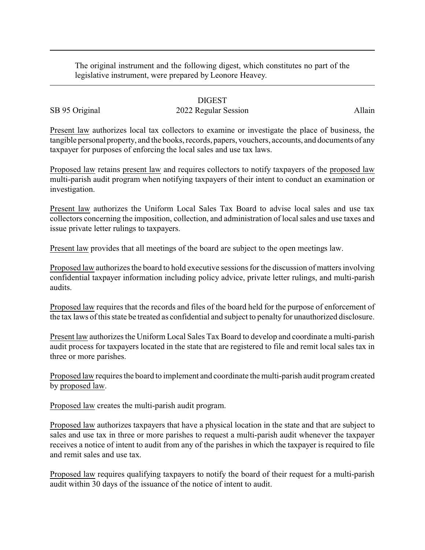The original instrument and the following digest, which constitutes no part of the legislative instrument, were prepared by Leonore Heavey.

## DIGEST

## SB 95 Original 2022 Regular Session Allain

Present law authorizes local tax collectors to examine or investigate the place of business, the tangible personal property, and the books, records, papers, vouchers, accounts, and documents of any taxpayer for purposes of enforcing the local sales and use tax laws.

Proposed law retains present law and requires collectors to notify taxpayers of the proposed law multi-parish audit program when notifying taxpayers of their intent to conduct an examination or investigation.

Present law authorizes the Uniform Local Sales Tax Board to advise local sales and use tax collectors concerning the imposition, collection, and administration of local sales and use taxes and issue private letter rulings to taxpayers.

Present law provides that all meetings of the board are subject to the open meetings law.

Proposed law authorizes the board to hold executive sessions for the discussion of matters involving confidential taxpayer information including policy advice, private letter rulings, and multi-parish audits.

Proposed law requires that the records and files of the board held for the purpose of enforcement of the tax laws of this state be treated as confidential and subject to penalty for unauthorized disclosure.

Present law authorizes the Uniform Local Sales Tax Board to develop and coordinate a multi-parish audit process for taxpayers located in the state that are registered to file and remit local sales tax in three or more parishes.

Proposed law requires the board to implement and coordinate the multi-parish audit program created by proposed law.

Proposed law creates the multi-parish audit program.

Proposed law authorizes taxpayers that have a physical location in the state and that are subject to sales and use tax in three or more parishes to request a multi-parish audit whenever the taxpayer receives a notice of intent to audit from any of the parishes in which the taxpayer is required to file and remit sales and use tax.

Proposed law requires qualifying taxpayers to notify the board of their request for a multi-parish audit within 30 days of the issuance of the notice of intent to audit.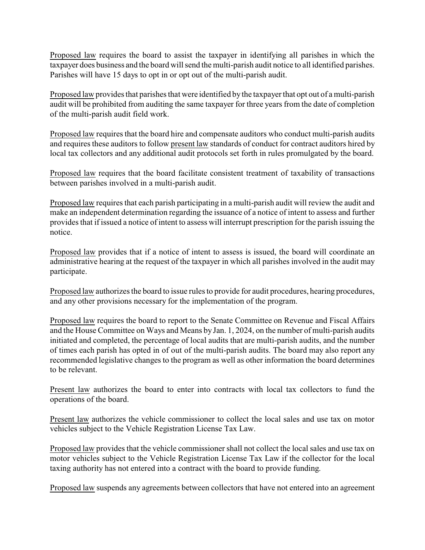Proposed law requires the board to assist the taxpayer in identifying all parishes in which the taxpayer does business and the board will send the multi-parish audit notice to all identified parishes. Parishes will have 15 days to opt in or opt out of the multi-parish audit.

Proposed law provides that parishes that were identified by the taxpayer that opt out of a multi-parish audit will be prohibited from auditing the same taxpayer for three years from the date of completion of the multi-parish audit field work.

Proposed law requires that the board hire and compensate auditors who conduct multi-parish audits and requires these auditors to follow present law standards of conduct for contract auditors hired by local tax collectors and any additional audit protocols set forth in rules promulgated by the board.

Proposed law requires that the board facilitate consistent treatment of taxability of transactions between parishes involved in a multi-parish audit.

Proposed law requires that each parish participating in a multi-parish audit will review the audit and make an independent determination regarding the issuance of a notice of intent to assess and further provides that if issued a notice of intent to assess will interrupt prescription for the parish issuing the notice.

Proposed law provides that if a notice of intent to assess is issued, the board will coordinate an administrative hearing at the request of the taxpayer in which all parishes involved in the audit may participate.

Proposed law authorizes the board to issue rules to provide for audit procedures, hearing procedures, and any other provisions necessary for the implementation of the program.

Proposed law requires the board to report to the Senate Committee on Revenue and Fiscal Affairs and the House Committee on Ways and Means by Jan. 1, 2024, on the number of multi-parish audits initiated and completed, the percentage of local audits that are multi-parish audits, and the number of times each parish has opted in of out of the multi-parish audits. The board may also report any recommended legislative changes to the program as well as other information the board determines to be relevant.

Present law authorizes the board to enter into contracts with local tax collectors to fund the operations of the board.

Present law authorizes the vehicle commissioner to collect the local sales and use tax on motor vehicles subject to the Vehicle Registration License Tax Law.

Proposed law provides that the vehicle commissioner shall not collect the local sales and use tax on motor vehicles subject to the Vehicle Registration License Tax Law if the collector for the local taxing authority has not entered into a contract with the board to provide funding.

Proposed law suspends any agreements between collectors that have not entered into an agreement